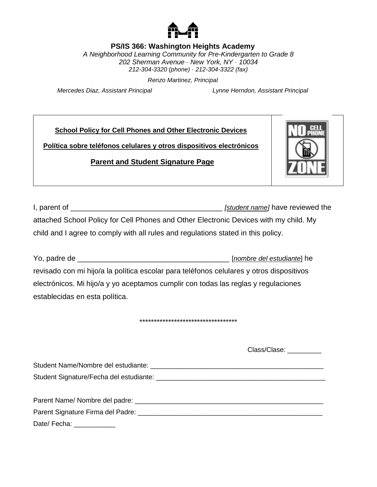

### **PS/IS 366: Washington Heights Academy**

*A Neighborhood Learning Community for Pre-Kindergarten to Grade 8 202 Sherman Avenue · New York, NY · 10034 212-304-3320 (phone) · 212-304-3322 (fax)*

*Renzo Martinez, Principal*

*Mercedes Diaz, Assistant Principal Lynne Herndon, Assistant Principal*

**School Policy for Cell Phones and Other Electronic Devices**

**Política sobre teléfonos celulares y otros dispositivos electrónicos**

### **Parent and Student Signature Page**



I, parent of **I** are not all the set of the set of the set of the set of the set of the set of the set of the set of the set of the set of the set of the set of the set of the set of the set of the set of the set of the se attached School Policy for Cell Phones and Other Electronic Devices with my child. My child and I agree to comply with all rules and regulations stated in this policy.

Yo, padre de \_\_\_\_\_\_\_\_\_\_\_\_\_\_\_\_\_\_\_\_\_\_\_\_\_\_\_\_\_\_\_\_\_\_\_\_\_ [*nombre del estudiante*] he revisado con mi hijo/a la política escolar para teléfonos celulares y otros dispositivos electrónicos. Mi hijo/a y yo aceptamos cumplir con todas las reglas y regulaciones establecidas en esta política.

\*\*\*\*\*\*\*\*\*\*\*\*\*\*\*\*\*\*\*\*\*\*\*\*\*\*\*\*\*\*\*\*\*\*

Class/Clase: \_\_\_\_\_\_\_\_\_\_

Student Name/Nombre del estudiante: \_\_\_\_\_\_\_\_\_\_\_\_\_\_\_\_\_\_\_\_\_\_\_\_\_\_\_\_\_\_\_\_\_\_\_\_\_\_\_\_\_\_\_\_\_\_ Student Signature/Fecha del estudiante: \_\_\_\_\_\_\_\_\_\_\_\_\_\_\_\_\_\_\_\_\_\_\_\_\_\_\_\_\_\_\_\_\_\_\_\_\_\_\_\_\_\_\_\_\_ Parent Name/ Nombre del padre: \_\_\_\_\_\_\_\_\_\_\_\_\_\_\_\_\_\_\_\_\_\_\_\_\_\_\_\_\_\_\_\_\_\_\_\_\_\_\_\_\_\_\_\_\_\_\_\_\_\_ Parent Signature Firma del Padre: \_\_\_\_\_\_\_\_\_\_\_\_\_\_\_\_\_\_\_\_\_\_\_\_\_\_\_\_\_\_\_\_\_\_\_\_\_\_\_\_\_\_\_\_\_\_\_\_\_

Date/ Fecha: \_\_\_\_\_\_\_\_\_\_\_\_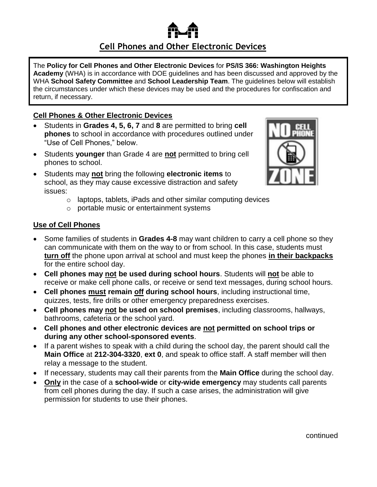# **Cell Phones and Other Electronic Devices**

The **Policy for Cell Phones and Other Electronic Devices** for **PS/IS 366: Washington Heights Academy** (WHA) is in accordance with DOE guidelines and has been discussed and approved by the WHA **School Safety Committee** and **School Leadership Team**. The guidelines below will establish the circumstances under which these devices may be used and the procedures for confiscation and return, if necessary.

### **Cell Phones & Other Electronic Devices**

- Students in **Grades 4, 5, 6, 7** and **8** are permitted to bring **cell phones** to school in accordance with procedures outlined under "Use of Cell Phones," below.
- Students **younger** than Grade 4 are **not** permitted to bring cell phones to school.
- Students may **not** bring the following **electronic items** to school, as they may cause excessive distraction and safety issues:
	- o laptops, tablets, iPads and other similar computing devices
	- o portable music or entertainment systems

### **Use of Cell Phones**

- Some families of students in **Grades 4-8** may want children to carry a cell phone so they can communicate with them on the way to or from school. In this case, students must **turn off** the phone upon arrival at school and must keep the phones **in their backpacks** for the entire school day.
- **Cell phones may not be used during school hours**. Students will **not** be able to receive or make cell phone calls, or receive or send text messages, during school hours.
- **Cell phones must remain off during school hours**, including instructional time, quizzes, tests, fire drills or other emergency preparedness exercises.
- **Cell phones may not be used on school premises**, including classrooms, hallways, bathrooms, cafeteria or the school yard.
- **Cell phones and other electronic devices are not permitted on school trips or during any other school-sponsored events**.
- If a parent wishes to speak with a child during the school day, the parent should call the **Main Office** at **212-304-3320**, **ext 0**, and speak to office staff. A staff member will then relay a message to the student.
- If necessary, students may call their parents from the **Main Office** during the school day.
- **Only** in the case of a **school-wide** or **city-wide emergency** may students call parents from cell phones during the day. If such a case arises, the administration will give permission for students to use their phones.

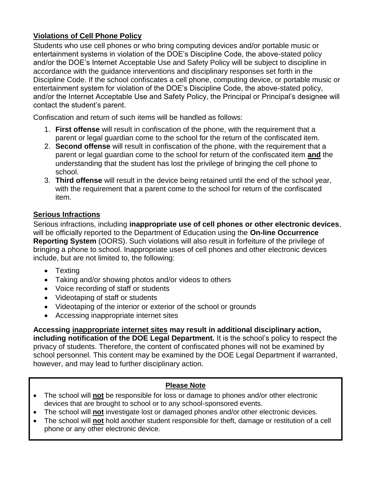# **Violations of Cell Phone Policy**

Students who use cell phones or who bring computing devices and/or portable music or entertainment systems in violation of the DOE's Discipline Code, the above-stated policy and/or the DOE's Internet Acceptable Use and Safety Policy will be subject to discipline in accordance with the guidance interventions and disciplinary responses set forth in the Discipline Code. If the school confiscates a cell phone, computing device, or portable music or entertainment system for violation of the DOE's Discipline Code, the above-stated policy, and/or the Internet Acceptable Use and Safety Policy, the Principal or Principal's designee will contact the student's parent.

Confiscation and return of such items will be handled as follows:

- 1. **First offense** will result in confiscation of the phone, with the requirement that a parent or legal guardian come to the school for the return of the confiscated item.
- 2. **Second offense** will result in confiscation of the phone, with the requirement that a parent or legal guardian come to the school for return of the confiscated item **and** the understanding that the student has lost the privilege of bringing the cell phone to school.
- 3. **Third offense** will result in the device being retained until the end of the school year, with the requirement that a parent come to the school for return of the confiscated item.

# **Serious Infractions**

Serious infractions, including **inappropriate use of cell phones or other electronic devices**, will be officially reported to the Department of Education using the **On-line Occurrence Reporting System** (OORS). Such violations will also result in forfeiture of the privilege of bringing a phone to school. Inappropriate uses of cell phones and other electronic devices include, but are not limited to, the following:

- Texting
- Taking and/or showing photos and/or videos to others
- Voice recording of staff or students
- Videotaping of staff or students
- Videotaping of the interior or exterior of the school or grounds
- Accessing inappropriate internet sites

**Accessing inappropriate internet sites may result in additional disciplinary action, including notification of the DOE Legal Department.** It is the school's policy to respect the privacy of students. Therefore, the content of confiscated phones will not be examined by school personnel. This content may be examined by the DOE Legal Department if warranted, however, and may lead to further disciplinary action.

# **Please Note**

- The school will **not** be responsible for loss or damage to phones and/or other electronic devices that are brought to school or to any school-sponsored events.
- The school will **not** investigate lost or damaged phones and/or other electronic devices.
- The school will **not** hold another student responsible for theft, damage or restitution of a cell phone or any other electronic device.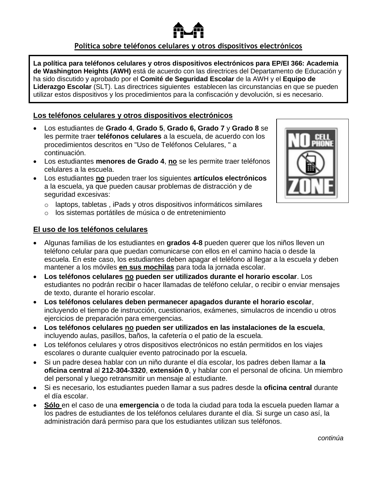### **Política sobre teléfonos celulares y otros dispositivos electrónicos**

**La política para teléfonos celulares y otros dispositivos electrónicos para EP/EI 366: Academia de Washington Heights (AWH)** está de acuerdo con las directrices del Departamento de Educación y ha sido discutido y aprobado por el **Comité de Seguridad Escolar** de la AWH y el **Equipo de Liderazgo Escolar** (SLT). Las directrices siguientes establecen las circunstancias en que se pueden utilizar estos dispositivos y los procedimientos para la confiscación y devolución, si es necesario.

### **Los teléfonos celulares y otros dispositivos electrónicos**

- Los estudiantes de **Grado 4**, **Grado 5**, **Grado 6, Grado 7** y **Grado 8** se les permite traer **teléfonos celulares** a la escuela, de acuerdo con los procedimientos descritos en "Uso de Teléfonos Celulares, " a continuación.
- Los estudiantes **menores de Grado 4**, **no** se les permite traer teléfonos celulares a la escuela.
- Los estudiantes **no** pueden traer los siguientes **artículos electrónicos** a la escuela, ya que pueden causar problemas de distracción y de seguridad excesivas:
	- o laptops, tabletas , iPads y otros dispositivos informáticos similares
	- o los sistemas portátiles de música o de entretenimiento

### **El uso de los teléfonos celulares**

- Algunas familias de los estudiantes en **grados 4-8** pueden querer que los niños lleven un teléfono celular para que puedan comunicarse con ellos en el camino hacia o desde la escuela. En este caso, los estudiantes deben apagar el teléfono al llegar a la escuela y deben mantener a los móviles **en sus mochilas** para toda la jornada escolar.
- **Los teléfonos celulares no pueden ser utilizados durante el horario escolar**. Los estudiantes no podrán recibir o hacer llamadas de teléfono celular, o recibir o enviar mensajes de texto, durante el horario escolar.
- **Los teléfonos celulares deben permanecer apagados durante el horario escolar**, incluyendo el tiempo de instrucción, cuestionarios, exámenes, simulacros de incendio u otros ejercicios de preparación para emergencias.
- **Los teléfonos celulares no pueden ser utilizados en las instalaciones de la escuela**, incluyendo aulas, pasillos, baños, la cafetería o el patio de la escuela.
- Los teléfonos celulares y otros dispositivos electrónicos no están permitidos en los viajes escolares o durante cualquier evento patrocinado por la escuela.
- Si un padre desea hablar con un niño durante el día escolar, los padres deben llamar a **la oficina central** al **212-304-3320**, **extensión 0**, y hablar con el personal de oficina. Un miembro del personal y luego retransmitir un mensaje al estudiante.
- Si es necesario, los estudiantes pueden llamar a sus padres desde la **oficina central** durante el día escolar.
- **Sólo** en el caso de una **emergencia** o de toda la ciudad para toda la escuela pueden llamar a los padres de estudiantes de los teléfonos celulares durante el día. Si surge un caso así, la administración dará permiso para que los estudiantes utilizan sus teléfonos.